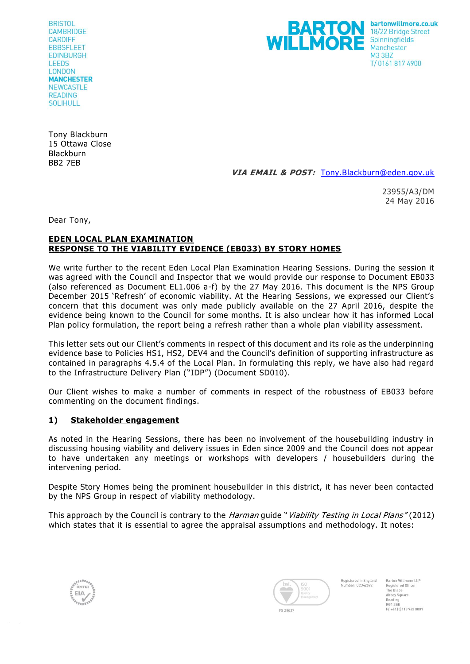**BRISTOL CAMBRIDGE CARDIFF FRRSELFET EDINBURGH LEEDS** LONDON **MANCHESTER NEWCASTLE READING** SOLIHULL



Tony Blackburn 15 Ottawa Close **Blackburn** BB2 7EB

**VIA EMAIL & POST:** [Tony.Blackburn@eden.gov.uk](mailto:Tony.Blackburn@eden.gov.uk)

23955/A3/DM 24 May 2016

Dear Tony,

## **EDEN LOCAL PLAN EXAMINATION RESPONSE TO THE VIABILITY EVIDENCE (EB033) BY STORY HOMES**

We write further to the recent Eden Local Plan Examination Hearing Sessions. During the session it was agreed with the Council and Inspector that we would provide our response to Document EB033 (also referenced as Document EL1.006 a-f) by the 27 May 2016. This document is the NPS Group December 2015 'Refresh' of economic viability. At the Hearing Sessions, we expressed our Client's concern that this document was only made publicly available on the 27 April 2016, despite the evidence being known to the Council for some months. It is also unclear how it has informed Local Plan policy formulation, the report being a refresh rather than a whole plan viabil ity assessment.

This letter sets out our Client's comments in respect of this document and its role as the underpinning evidence base to Policies HS1, HS2, DEV4 and the Council's definition of supporting infrastructure as contained in paragraphs 4.5.4 of the Local Plan. In formulating this reply, we have also had regard to the Infrastructure Delivery Plan ("IDP") (Document SD010).

Our Client wishes to make a number of comments in respect of the robustness of EB033 before commenting on the document findings.

# **1) Stakeholder engagement**

As noted in the Hearing Sessions, there has been no involvement of the housebuilding industry in discussing housing viability and delivery issues in Eden since 2009 and the Council does not appear to have undertaken any meetings or workshops with developers / housebuilders during the intervening period.

Despite Story Homes being the prominent housebuilder in this district, it has never been contacted by the NPS Group in respect of viability methodology.

This approach by the Council is contrary to the *Harman* guide "*Viability Testing in Local Plans"* (2012) which states that it is essential to agree the appraisal assumptions and methodology. It notes:





Barton Willmore LLP Registered in England Number-00342692 Registered Office The Blade Abbey Square<br>Reading Reading<br>RG1 3BE<br>F/ +44 (0)118 943 0001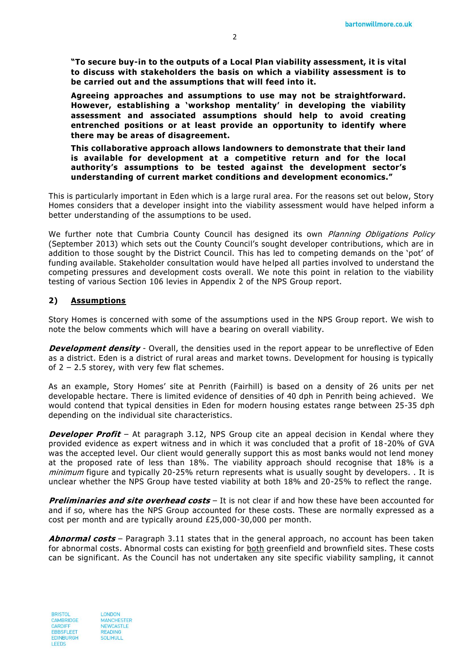**"To secure buy-in to the outputs of a Local Plan viability assessment, it is vital to discuss with stakeholders the basis on which a viability assessment is to be carried out and the assumptions that will feed into it.** 

**Agreeing approaches and assumptions to use may not be straightforward. However, establishing a 'workshop mentality' in developing the viability assessment and associated assumptions should help to avoid creating entrenched positions or at least provide an opportunity to identify where there may be areas of disagreement.** 

**This collaborative approach allows landowners to demonstrate that their land is available for development at a competitive return and for the local authority's assumptions to be tested against the development sector's understanding of current market conditions and development economics."**

This is particularly important in Eden which is a large rural area. For the reasons set out below, Story Homes considers that a developer insight into the viability assessment would have helped inform a better understanding of the assumptions to be used.

We further note that Cumbria County Council has designed its own *Planning Obligations Policy* (September 2013) which sets out the County Council's sought developer contributions, which are in addition to those sought by the District Council. This has led to competing demands on the 'pot' of funding available. Stakeholder consultation would have helped all parties involved to understand the competing pressures and development costs overall. We note this point in relation to the viability testing of various Section 106 levies in Appendix 2 of the NPS Group report.

#### **2) Assumptions**

Story Homes is concerned with some of the assumptions used in the NPS Group report. We wish to note the below comments which will have a bearing on overall viability.

**Development density** - Overall, the densities used in the report appear to be unreflective of Eden as a district. Eden is a district of rural areas and market towns. Development for housing is typically of 2 – 2.5 storey, with very few flat schemes.

As an example, Story Homes' site at Penrith (Fairhill) is based on a density of 26 units per net developable hectare. There is limited evidence of densities of 40 dph in Penrith being achieved. We would contend that typical densities in Eden for modern housing estates range between 25-35 dph depending on the individual site characteristics.

**Developer Profit** – At paragraph 3.12, NPS Group cite an appeal decision in Kendal where they provided evidence as expert witness and in which it was concluded that a profit of 18 -20% of GVA was the accepted level. Our client would generally support this as most banks would not lend money at the proposed rate of less than 18%. The viability approach should recognise that 18% is a minimum figure and typically 20-25% return represents what is usually sought by developers. . It is unclear whether the NPS Group have tested viability at both 18% and 20-25% to reflect the range.

**Preliminaries and site overhead costs** – It is not clear if and how these have been accounted for and if so, where has the NPS Group accounted for these costs. These are normally expressed as a cost per month and are typically around £25,000-30,000 per month.

**Abnormal costs** – Paragraph 3.11 states that in the general approach, no account has been taken for abnormal costs. Abnormal costs can existing for both greenfield and brownfield sites. These costs can be significant. As the Council has not undertaken any site specific viability sampling, it cannot

**BRISTOL** CAMBRIDGE CARDIFF **FRRSELFET** EDINBURGH LEEDS

**LONDON MANCHESTER** NEWCASTLE READING **SOLIHULL**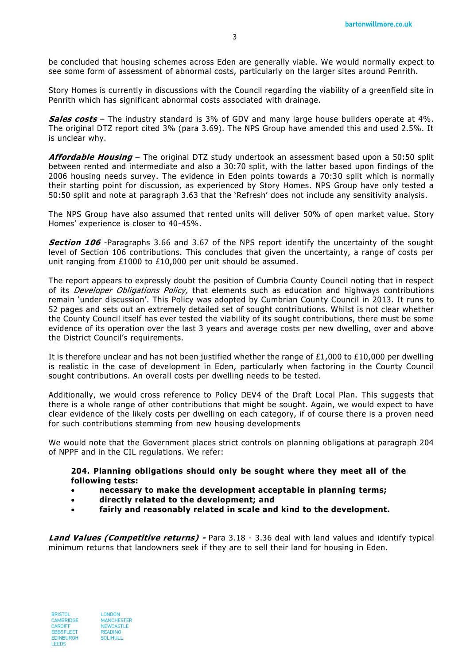be concluded that housing schemes across Eden are generally viable. We wo uld normally expect to see some form of assessment of abnormal costs, particularly on the larger sites around Penrith.

Story Homes is currently in discussions with the Council regarding the viability of a greenfield site in Penrith which has significant abnormal costs associated with drainage.

**Sales costs** – The industry standard is 3% of GDV and many large house builders operate at 4%. The original DTZ report cited 3% (para 3.69). The NPS Group have amended this and used 2.5%. It is unclear why.

**Affordable Housing** – The original DTZ study undertook an assessment based upon a 50:50 split between rented and intermediate and also a 30:70 split, with the latter based upon findings of the 2006 housing needs survey. The evidence in Eden points towards a 70:30 split which is normally their starting point for discussion, as experienced by Story Homes. NPS Group have only tested a 50:50 split and note at paragraph 3.63 that the 'Refresh' does not include any sensitivity analysis.

The NPS Group have also assumed that rented units will deliver 50% of open market value. Story Homes' experience is closer to 40-45%.

**Section 106** -Paragraphs 3.66 and 3.67 of the NPS report identify the uncertainty of the sought level of Section 106 contributions. This concludes that given the uncertainty, a range of costs per unit ranging from £1000 to £10,000 per unit should be assumed.

The report appears to expressly doubt the position of Cumbria County Council noting that in respect of its *Developer Obligations Policy*, that elements such as education and highways contributions remain 'under discussion'. This Policy was adopted by Cumbrian County Council in 2013. It runs to 52 pages and sets out an extremely detailed set of sought contributions. Whilst is not clear whether the County Council itself has ever tested the viability of its sought contributions, there must be some evidence of its operation over the last 3 years and average costs per new dwelling, over and above the District Council's requirements.

It is therefore unclear and has not been justified whether the range of £1,000 to £10,000 per dwelling is realistic in the case of development in Eden, particularly when factoring in the County Council sought contributions. An overall costs per dwelling needs to be tested.

Additionally, we would cross reference to Policy DEV4 of the Draft Local Plan. This suggests that there is a whole range of other contributions that might be sought. Again, we would expect to have clear evidence of the likely costs per dwelling on each category, if of course there is a proven need for such contributions stemming from new housing developments

We would note that the Government places strict controls on planning obligations at paragraph 204 of NPPF and in the CIL regulations. We refer:

**204. Planning obligations should only be sought where they meet all of the following tests:**

- **necessary to make the development acceptable in planning terms;**
- **directly related to the development; and**
- **fairly and reasonably related in scale and kind to the development.**

**Land Values (Competitive returns) -** Para 3.18 - 3.36 deal with land values and identify typical minimum returns that landowners seek if they are to sell their land for housing in Eden.

**BRISTOL** CAMBRIDGE CARDIFF **FRRSELFET EDINBURGH** LEEDS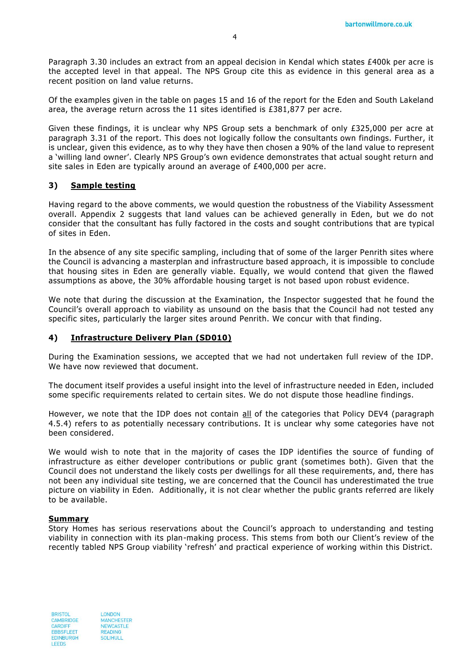Paragraph 3.30 includes an extract from an appeal decision in Kendal which states £400k per acre is the accepted level in that appeal. The NPS Group cite this as evidence in this general area as a recent position on land value returns.

Of the examples given in the table on pages 15 and 16 of the report for the Eden and South Lakeland area, the average return across the 11 sites identified is £381,877 per acre.

Given these findings, it is unclear why NPS Group sets a benchmark of only £325,000 per acre at paragraph 3.31 of the report. This does not logically follow the consultants own findings. Further, it is unclear, given this evidence, as to why they have then chosen a 90% of the land value to represent a 'willing land owner'. Clearly NPS Group's own evidence demonstrates that actual sought return and site sales in Eden are typically around an average of £400,000 per acre.

## **3) Sample testing**

Having regard to the above comments, we would question the robustness of the Viability Assessment overall. Appendix 2 suggests that land values can be achieved generally in Eden, but we do not consider that the consultant has fully factored in the costs and sought contributions that are typical of sites in Eden.

In the absence of any site specific sampling, including that of some of the larger Penrith sites where the Council is advancing a masterplan and infrastructure based approach, it is impossible to conclude that housing sites in Eden are generally viable. Equally, we would contend that given the flawed assumptions as above, the 30% affordable housing target is not based upon robust evidence.

We note that during the discussion at the Examination, the Inspector suggested that he found the Council's overall approach to viability as unsound on the basis that the Council had not tested any specific sites, particularly the larger sites around Penrith. We concur with that finding.

# **4) Infrastructure Delivery Plan (SD010)**

During the Examination sessions, we accepted that we had not undertaken full review of the IDP. We have now reviewed that document.

The document itself provides a useful insight into the level of infrastructure needed in Eden, included some specific requirements related to certain sites. We do not dispute those headline findings.

However, we note that the IDP does not contain all of the categories that Policy DEV4 (paragraph 4.5.4) refers to as potentially necessary contributions. It is unclear why some categories have not been considered.

We would wish to note that in the majority of cases the IDP identifies the source of funding of infrastructure as either developer contributions or public grant (sometimes both). Given that the Council does not understand the likely costs per dwellings for all these requirements, and, there has not been any individual site testing, we are concerned that the Council has underestimated the true picture on viability in Eden. Additionally, it is not clear whether the public grants referred are likely to be available.

## **Summary**

Story Homes has serious reservations about the Council's approach to understanding and testing viability in connection with its plan-making process. This stems from both our Client's review of the recently tabled NPS Group viability 'refresh' and practical experience of working within this District.

**BRISTOL** CAMBRIDGE CARDIFF **FRRSELFET** EDINBURGH LEEDS

**LONDON MANCHESTER** NEWCASTLE READING **SOLIHULL**